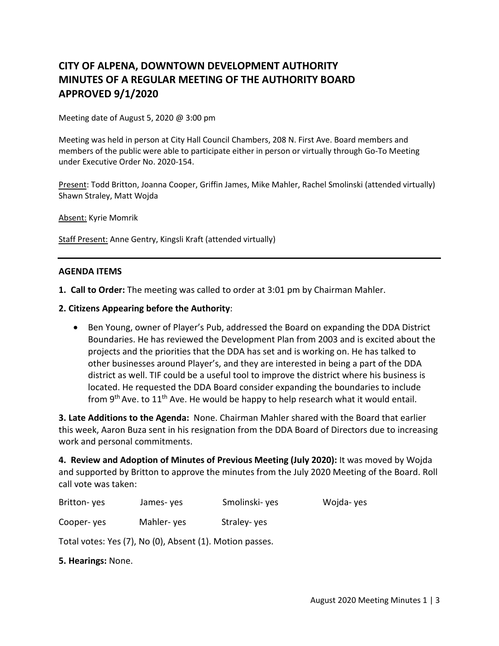# **CITY OF ALPENA, DOWNTOWN DEVELOPMENT AUTHORITY MINUTES OF A REGULAR MEETING OF THE AUTHORITY BOARD APPROVED 9/1/2020**

Meeting date of August 5, 2020 @ 3:00 pm

Meeting was held in person at City Hall Council Chambers, 208 N. First Ave. Board members and members of the public were able to participate either in person or virtually through Go-To Meeting under Executive Order No. 2020-154.

Present: Todd Britton, Joanna Cooper, Griffin James, Mike Mahler, Rachel Smolinski (attended virtually) Shawn Straley, Matt Wojda

Absent: Kyrie Momrik

Staff Present: Anne Gentry, Kingsli Kraft (attended virtually)

#### **AGENDA ITEMS**

**1. Call to Order:** The meeting was called to order at 3:01 pm by Chairman Mahler.

- **2. Citizens Appearing before the Authority**:
	- Ben Young, owner of Player's Pub, addressed the Board on expanding the DDA District Boundaries. He has reviewed the Development Plan from 2003 and is excited about the projects and the priorities that the DDA has set and is working on. He has talked to other businesses around Player's, and they are interested in being a part of the DDA district as well. TIF could be a useful tool to improve the district where his business is located. He requested the DDA Board consider expanding the boundaries to include from  $9<sup>th</sup>$  Ave. to  $11<sup>th</sup>$  Ave. He would be happy to help research what it would entail.

**3. Late Additions to the Agenda:** None. Chairman Mahler shared with the Board that earlier this week, Aaron Buza sent in his resignation from the DDA Board of Directors due to increasing work and personal commitments.

**4. Review and Adoption of Minutes of Previous Meeting (July 2020):** It was moved by Wojda and supported by Britton to approve the minutes from the July 2020 Meeting of the Board. Roll call vote was taken:

| Britton-yes<br>Smolinski-yes<br>James-yes |  |
|-------------------------------------------|--|
|-------------------------------------------|--|

Cooper- yes Mahler- yes Straley- yes

Total votes: Yes (7), No (0), Absent (1). Motion passes.

**5. Hearings:** None.

Wojda- yes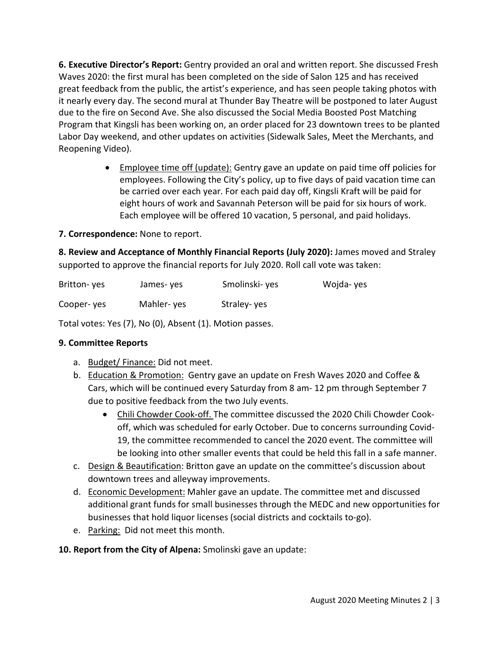**6. Executive Director's Report:** Gentry provided an oral and written report. She discussed Fresh Waves 2020: the first mural has been completed on the side of Salon 125 and has received great feedback from the public, the artist's experience, and has seen people taking photos with it nearly every day. The second mural at Thunder Bay Theatre will be postponed to later August due to the fire on Second Ave. She also discussed the Social Media Boosted Post Matching Program that Kingsli has been working on, an order placed for 23 downtown trees to be planted Labor Day weekend, and other updates on activities (Sidewalk Sales, Meet the Merchants, and Reopening Video).

> • Employee time off (update): Gentry gave an update on paid time off policies for employees. Following the City's policy, up to five days of paid vacation time can be carried over each year. For each paid day off, Kingsli Kraft will be paid for eight hours of work and Savannah Peterson will be paid for six hours of work. Each employee will be offered 10 vacation, 5 personal, and paid holidays.

# **7. Correspondence:** None to report.

**8. Review and Acceptance of Monthly Financial Reports (July 2020):** James moved and Straley supported to approve the financial reports for July 2020. Roll call vote was taken:

| Britton-yes | James- yes | Smolinski-yes | Wojda-yes |
|-------------|------------|---------------|-----------|
| Cooper-yes  | Mahler-yes | Straley-yes   |           |

Total votes: Yes (7), No (0), Absent (1). Motion passes.

### **9. Committee Reports**

- a. Budget/ Finance: Did not meet.
- b. Education & Promotion: Gentry gave an update on Fresh Waves 2020 and Coffee & Cars, which will be continued every Saturday from 8 am- 12 pm through September 7 due to positive feedback from the two July events.
	- Chili Chowder Cook-off. The committee discussed the 2020 Chili Chowder Cookoff, which was scheduled for early October. Due to concerns surrounding Covid-19, the committee recommended to cancel the 2020 event. The committee will be looking into other smaller events that could be held this fall in a safe manner.
- c. Design & Beautification: Britton gave an update on the committee's discussion about downtown trees and alleyway improvements.
- d. Economic Development: Mahler gave an update. The committee met and discussed additional grant funds for small businesses through the MEDC and new opportunities for businesses that hold liquor licenses (social districts and cocktails to-go).
- e. Parking: Did not meet this month.
- **10. Report from the City of Alpena:** Smolinski gave an update: